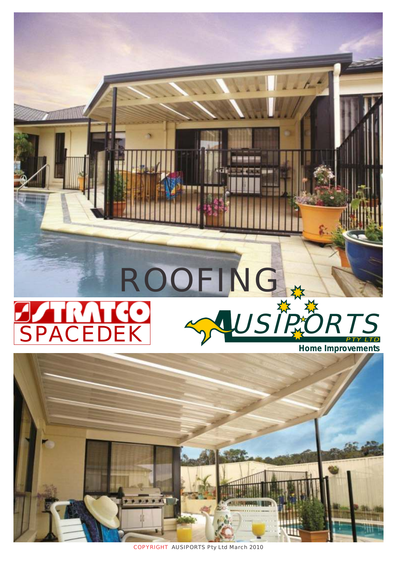





COPYRIGHT AUSIPORTS Pty Ltd March 2010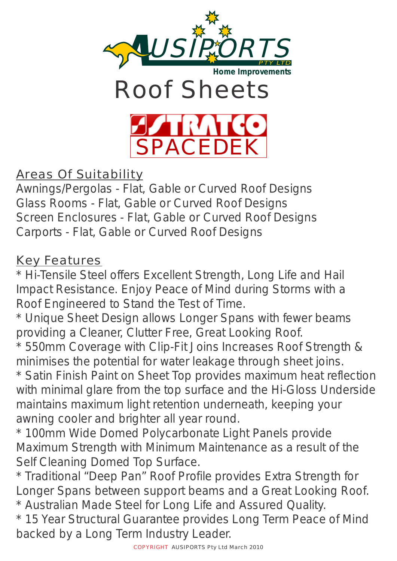





Areas Of Suitability

Awnings/Pergolas - Flat, Gable or Curved Roof Designs Glass Rooms - Flat, Gable or Curved Roof Designs Screen Enclosures - Flat, Gable or Curved Roof Designs Carports - Flat, Gable or Curved Roof Designs

#### Key Features

\* Hi-Tensile Steel offers Excellent Strength, Long Life and Hail Impact Resistance. Enjoy Peace of Mind during Storms with a Roof Engineered to Stand the Test of Time.

\* Unique Sheet Design allows Longer Spans with fewer beams providing a Cleaner, Clutter Free, Great Looking Roof.

\* 550mm Coverage with Clip-Fit Joins Increases Roof Strength & minimises the potential for water leakage through sheet joins.

\* Satin Finish Paint on Sheet Top provides maximum heat reflection with minimal glare from the top surface and the Hi-Gloss Underside maintains maximum light retention underneath, keeping your awning cooler and brighter all year round.

\* 100mm Wide Domed Polycarbonate Light Panels provide Maximum Strength with Minimum Maintenance as a result of the Self Cleaning Domed Top Surface.

\* Traditional "Deep Pan" Roof Profile provides Extra Strength for Longer Spans between support beams and a Great Looking Roof. \* Australian Made Steel for Long Life and Assured Quality.

\* 15 Year Structural Guarantee provides Long Term Peace of Mind backed by a Long Term Industry Leader.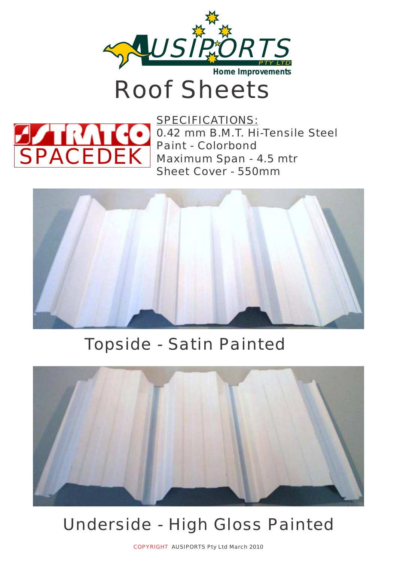

## Roof Sheets



SPECIFICATIONS: 0.42 mm B.M.T. Hi-Tensile Steel Paint - Colorbond Maximum Span - 4.5 mtr Sheet Cover - 550mm



#### Topside - Satin Painted



### Underside - High Gloss Painted

COPYRIGHT AUSIPORTS Pty Ltd March 2010